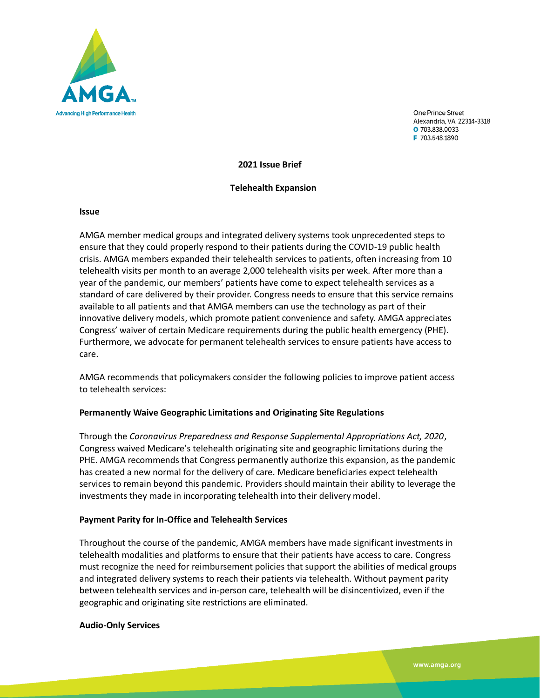

One Prince Street Alexandria, VA 22314-3318 O 703.838.0033 F 703.548.1890

**2021 Issue Brief**

#### **Telehealth Expansion**

#### **Issue**

AMGA member medical groups and integrated delivery systems took unprecedented steps to ensure that they could properly respond to their patients during the COVID-19 public health crisis. AMGA members expanded their telehealth services to patients, often increasing from 10 telehealth visits per month to an average 2,000 telehealth visits per week. After more than a year of the pandemic, our members' patients have come to expect telehealth services as a standard of care delivered by their provider. Congress needs to ensure that this service remains available to all patients and that AMGA members can use the technology as part of their innovative delivery models, which promote patient convenience and safety. AMGA appreciates Congress' waiver of certain Medicare requirements during the public health emergency (PHE). Furthermore, we advocate for permanent telehealth services to ensure patients have access to care.

AMGA recommends that policymakers consider the following policies to improve patient access to telehealth services:

### **Permanently Waive Geographic Limitations and Originating Site Regulations**

Through the *Coronavirus Preparedness and Response Supplemental Appropriations Act, 2020*, Congress waived Medicare's telehealth originating site and geographic limitations during the PHE. AMGA recommends that Congress permanently authorize this expansion, as the pandemic has created a new normal for the delivery of care. Medicare beneficiaries expect telehealth services to remain beyond this pandemic. Providers should maintain their ability to leverage the investments they made in incorporating telehealth into their delivery model.

#### **Payment Parity for In-Office and Telehealth Services**

Throughout the course of the pandemic, AMGA members have made significant investments in telehealth modalities and platforms to ensure that their patients have access to care. Congress must recognize the need for reimbursement policies that support the abilities of medical groups and integrated delivery systems to reach their patients via telehealth. Without payment parity between telehealth services and in-person care, telehealth will be disincentivized, even if the geographic and originating site restrictions are eliminated.

#### **Audio-Only Services**